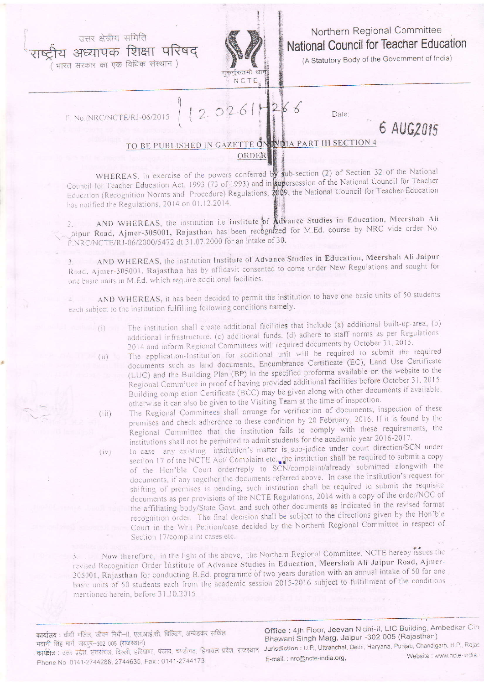उत्तर क्षेत्रीय समिति य अध्यापक शिक्षा परिषद

भारत सरकार का एक विधिक संस्थान)



## Northern Regional Committee National Council for Teacher Education

(A Statutory Body of the Government of India)

6 AUG2015

F. No./NRC/NCTE/RJ-06/2015

 $(i)$ 

 $(iii)$ 

 $(iv)$ 

 $2026!$  $\overline{2}$  $666$ Date:

## TO BE PUBLISHED IN GAZETTE ON NOIA PART III SECTION 4 ORDER

WHEREAS, in exercise of the powers conferred by sub-section (2) of Section 32 of the National Council for Teacher Education Act, 1993 (73 of 1993) and in supersession of the National Council for Teacher Education (Recognition Norms and Procedure) Regulations, 2009, the National Council for Teacher Education has notified the Regulations, 2014 on 01.12.2014.

AND WHEREAS, the institution i.e Institute of Advance Studies in Education, Meershah Ali  $2.11$ aipur Road, Ajmer-305001, Rajasthan has been recognized for M.Ed. course by NRC vide order No. F.NRC/NCTE/RJ-06/2000/5472 dt 31.07.2000 for an intake of 30.

AND WHEREAS, the institution Institute of Advance Studies in Education, Meershah Ali Jaipur Road, Ajmer-305001, Rajasthan has by affidavit consented to come under New Regulations and sought for one basic units in M.Ed. which require additional facilities.

AND WHEREAS, it has been decided to permit the institution to have one basic units of 50 students each subject to the institution fulfilling following conditions namely.

- The institution shall create additional facilities that include (a) additional built-up-area, (b) additional infrastructure, (c) additional funds, (d) adhere to staff norms as per Regulations, 2014 and inform Regional Committees with required documents by October 31, 2015.
- The application-Institution for additional unit will be required to submit the required documents such as land documents, Encumbrance Certificate (EC), Land Use Certificate (LUC) and the Building Plan (BP) in the specified proforma available on the website to the Regional Committee in proof of having provided additional facilities before October 31, 2015. Building completion Certificate (BCC) may be given along with other documents if available. otherwise it can also be given to the Visiting Team at the time of inspection.
- The Regional Committees shall arrange for verification of documents, inspection of these premises and check adherence to these condition by 20 February, 2016. If it is found by the Regional Committee that the institution fails to comply with these requirements, the institutions shall not be permitted to admit students for the academic year 2016-2017.
	- In case any existing institution's matter is sub-judice under court direction/SCN under section 17 of the NCTE Act/ Complaint etc. the institution shall be required to submit a copy of the Hon'ble Court order/reply to SCN/complaint/already submitted alongwith the documents, if any together the documents referred above. In case the institution's request for shifting of premises is pending, such institution shall be required to submit the requisite documents as per provisions of the NCTE Regulations, 2014 with a copy of the order/NOC of the affiliating body/State Govt. and such other documents as indicated in the revised format recognition order. The final decision shall be subject to the directions given by the Hon'ble Court in the Writ Petition/case decided by the Northern Regional Committee in respect of Section 17/complaint cases etc.

Now therefore, in the light of the above, the Northern Regional Committee. NCTE hereby issues the revised Recognition Order Institute of Advance Studies in Education, Meershah Ali Jaipur Road, Ajmer-305001, Rajasthan for conducting B.Ed. programme of two years duration with an annual intake of 50 for one basic units of 50 students each from the academic session 2015-2016 subject to fulfillment of the conditions mentioned herein, before 31.10.2015

कार्यालय : चौथी मंजिल, जीवन निधी-II, एल.आई.सी. बिल्ड़िंग, अम्बेडकर सर्किल भवानी सिंह मार्ग, जयपुर-302 005 (राजस्थान) कार्यक्षेत्र : उत्तर प्रदेश, स्तरांचल, दिल्ली, हरियाणा, पंजाब, चण्डीगढ, हिमाचल प्रदेश, राजस्थान Phone No 0141-2744288, 2744635, Fax: 0141-2744173

Office: 4th Floor, Jeevan Nidhi-il, LIC Building, Ambedkar Circ Bhawani Singh Marg, Jaipur -302 005 (Rajasthan) Jurisdiction : U.P., Uttranchal, Delhi, Haryana, Punjab, Chandigarh, H.P., Rajas Website : www.ncte-india. E-mail. : nrc@ncte-india.org,